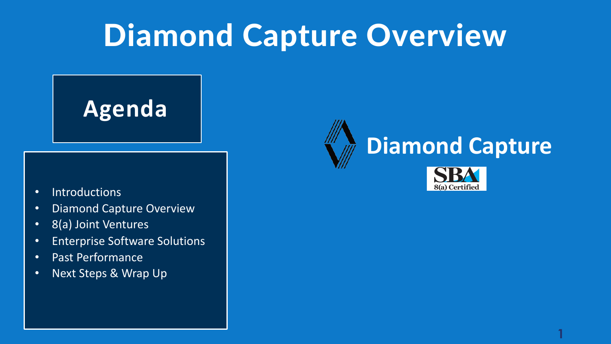# Diamond Capture Overview

**Agenda**

- Introductions
- Diamond Capture Overview
- 8(a) Joint Ventures
- Enterprise Software Solutions
- Past Performance
- Next Steps & Wrap Up



**1**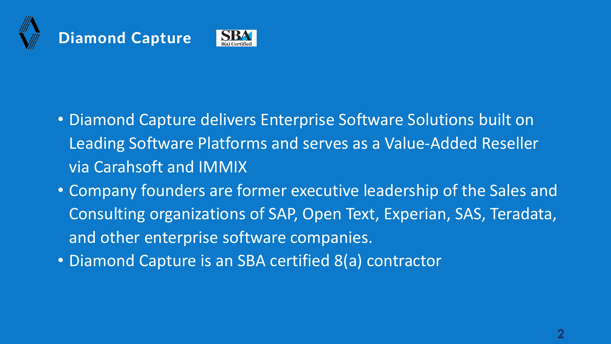



- Diamond Capture delivers Enterprise Software Solutions built on Leading Software Platforms and serves as a Value-Added Reseller via Carahsoft and IMMIX
- Company founders are former executive leadership of the Sales and Consulting organizations of SAP, Open Text, Experian, SAS, Teradata, and other enterprise software companies.
- Diamond Capture is an SBA certified 8(a) contractor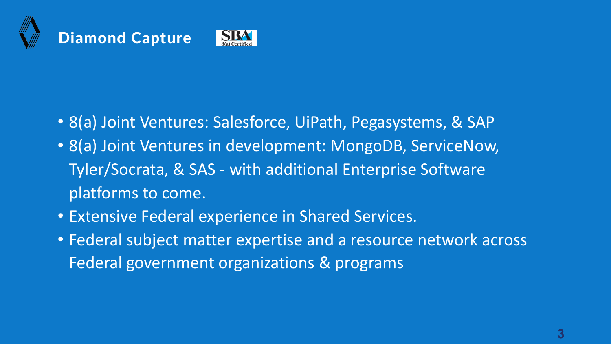



- 8(a) Joint Ventures: Salesforce, UiPath, Pegasystems, & SAP
- 8(a) Joint Ventures in development: MongoDB, ServiceNow, Tyler/Socrata, & SAS - with additional Enterprise Software platforms to come.
- Extensive Federal experience in Shared Services.
- Federal subject matter expertise and a resource network across Federal government organizations & programs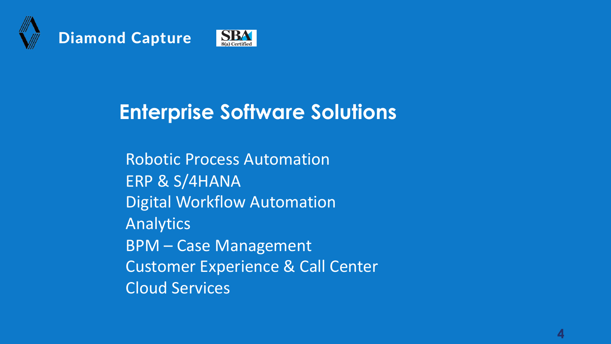



## **Enterprise Software Solutions**

Robotic Process Automation ERP & S/4HANA Digital Workflow Automation Analytics BPM – Case Management Customer Experience & Call Center Cloud Services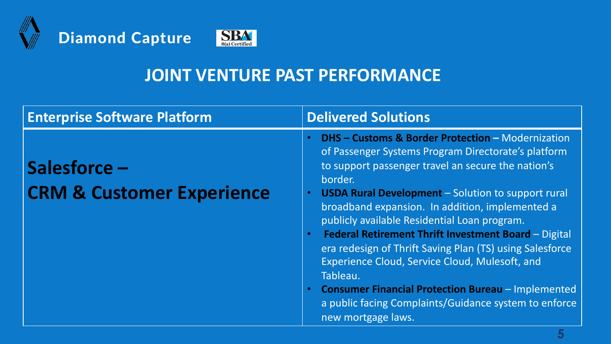



| <b>Enterprise Software Platform</b>                  | <b>Delivered Solutions</b>                                                                                                                                                                                                                                                                                                                                                                                                                                                                                                                                                                                                                                                                                   |
|------------------------------------------------------|--------------------------------------------------------------------------------------------------------------------------------------------------------------------------------------------------------------------------------------------------------------------------------------------------------------------------------------------------------------------------------------------------------------------------------------------------------------------------------------------------------------------------------------------------------------------------------------------------------------------------------------------------------------------------------------------------------------|
| Salesforce -<br><b>CRM &amp; Customer Experience</b> | <b>DHS - Customs &amp; Border Protection - Modernization</b><br>of Passenger Systems Program Directorate's platform<br>to support passenger travel an secure the nation's<br>border.<br><b>USDA Rural Development</b> – Solution to support rural<br>$\bullet$<br>broadband expansion. In addition, implemented a<br>publicly available Residential Loan program.<br>Federal Retirement Thrift Investment Board - Digital<br>$\bullet$<br>era redesign of Thrift Saving Plan (TS) using Salesforce<br>Experience Cloud, Service Cloud, Mulesoft, and<br>Tableau.<br><b>Consumer Financial Protection Bureau - Implemented</b><br>a public facing Complaints/Guidance system to enforce<br>new mortgage laws. |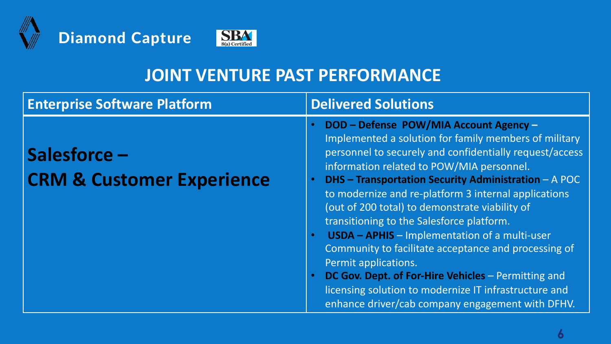



| <b>Enterprise Software Platform</b>                  | <b>Delivered Solutions</b>                                                                                                                                                                                                                                                                                                                                                                                                                                                                                                                                                                                                                                                                                                                             |
|------------------------------------------------------|--------------------------------------------------------------------------------------------------------------------------------------------------------------------------------------------------------------------------------------------------------------------------------------------------------------------------------------------------------------------------------------------------------------------------------------------------------------------------------------------------------------------------------------------------------------------------------------------------------------------------------------------------------------------------------------------------------------------------------------------------------|
| Salesforce -<br><b>CRM &amp; Customer Experience</b> | DOD - Defense POW/MIA Account Agency -<br>$\bullet$<br>Implemented a solution for family members of military<br>personnel to securely and confidentially request/access<br>information related to POW/MIA personnel.<br><b>DHS - Transportation Security Administration - A POC</b><br>to modernize and re-platform 3 internal applications<br>(out of 200 total) to demonstrate viability of<br>transitioning to the Salesforce platform.<br><b>USDA - APHIS - Implementation of a multi-user</b><br>Community to facilitate acceptance and processing of<br>Permit applications.<br>DC Gov. Dept. of For-Hire Vehicles - Permitting and<br>licensing solution to modernize IT infrastructure and<br>enhance driver/cab company engagement with DFHV. |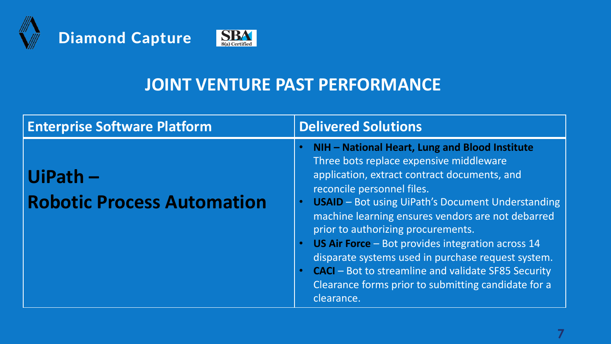



| <b>Enterprise Software Platform</b>             | <b>Delivered Solutions</b>                                                                                                                                                                                                                                                                                                                                                                                                                                                                                                                                                                       |
|-------------------------------------------------|--------------------------------------------------------------------------------------------------------------------------------------------------------------------------------------------------------------------------------------------------------------------------------------------------------------------------------------------------------------------------------------------------------------------------------------------------------------------------------------------------------------------------------------------------------------------------------------------------|
| $UIPath -$<br><b>Robotic Process Automation</b> | NIH - National Heart, Lung and Blood Institute<br>Three bots replace expensive middleware<br>application, extract contract documents, and<br>reconcile personnel files.<br><b>USAID</b> - Bot using UiPath's Document Understanding<br>machine learning ensures vendors are not debarred<br>prior to authorizing procurements.<br><b>US Air Force</b> – Bot provides integration across 14<br>disparate systems used in purchase request system.<br><b>CACI</b> – Bot to streamline and validate SF85 Security<br>$\bullet$<br>Clearance forms prior to submitting candidate for a<br>clearance. |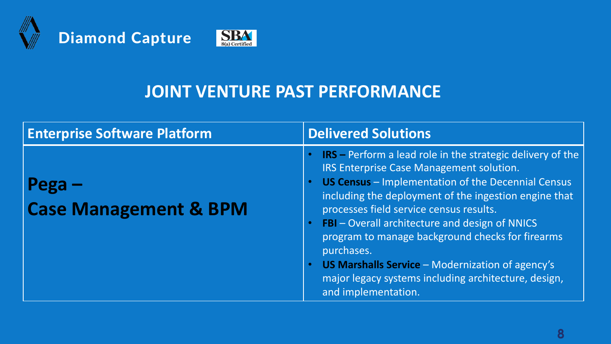





| <b>Enterprise Software Platform</b> | <b>Delivered Solutions</b>                                                                                                                                                                                                                                                                                                                                                                                                                                                                                                            |
|-------------------------------------|---------------------------------------------------------------------------------------------------------------------------------------------------------------------------------------------------------------------------------------------------------------------------------------------------------------------------------------------------------------------------------------------------------------------------------------------------------------------------------------------------------------------------------------|
| <b>Case Management &amp; BPM</b>    | <b>IRS</b> – Perform a lead role in the strategic delivery of the<br>IRS Enterprise Case Management solution.<br>US Census - Implementation of the Decennial Census<br>including the deployment of the ingestion engine that<br>processes field service census results.<br><b>FBI</b> – Overall architecture and design of NNICS<br>program to manage background checks for firearms<br>purchases.<br>US Marshalls Service - Modernization of agency's<br>major legacy systems including architecture, design,<br>and implementation. |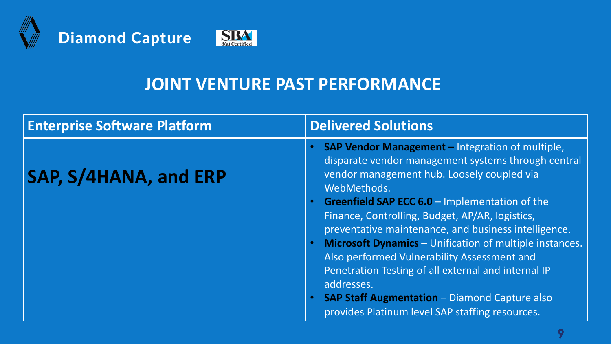





| <b>Enterprise Software Platform</b> | <b>Delivered Solutions</b>                                                                                                                                                                                                                                                                                                                                                                                                                                                                                                                                                                                                                                                                    |
|-------------------------------------|-----------------------------------------------------------------------------------------------------------------------------------------------------------------------------------------------------------------------------------------------------------------------------------------------------------------------------------------------------------------------------------------------------------------------------------------------------------------------------------------------------------------------------------------------------------------------------------------------------------------------------------------------------------------------------------------------|
| SAP, S/4HANA, and ERP               | <b>SAP Vendor Management - Integration of multiple,</b><br>$\bullet$<br>disparate vendor management systems through central<br>vendor management hub. Loosely coupled via<br>WebMethods.<br>Greenfield SAP ECC 6.0 - Implementation of the<br>$\bullet$<br>Finance, Controlling, Budget, AP/AR, logistics,<br>preventative maintenance, and business intelligence.<br><b>Microsoft Dynamics - Unification of multiple instances.</b><br>$\bullet$<br>Also performed Vulnerability Assessment and<br>Penetration Testing of all external and internal IP<br>addresses.<br><b>SAP Staff Augmentation - Diamond Capture also</b><br>$\bullet$<br>provides Platinum level SAP staffing resources. |